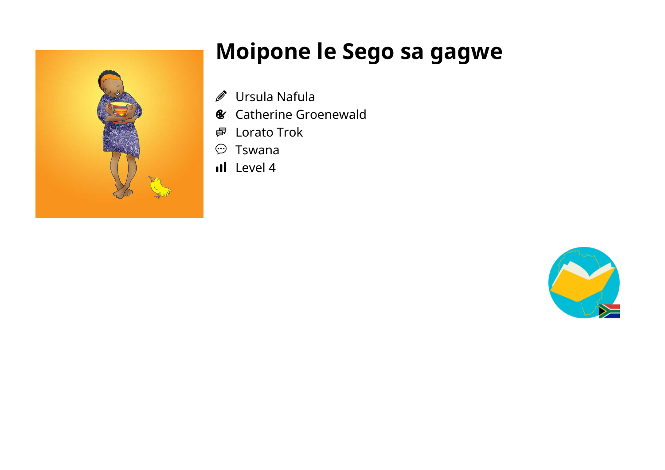

## **Moipone le Sego sa gagwe**

- Ursula Nafula  $\mathscr{D}$
- **&** Catherine Groenewald
- Lorato Trok 嚕
- Tswana  $\odot$
- Il Level 4

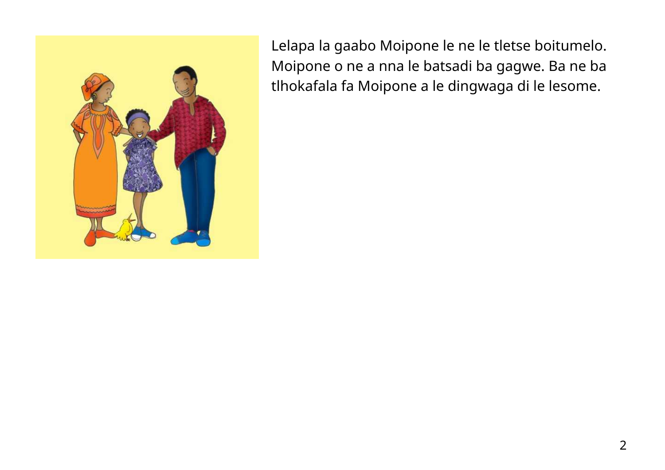

Lelapa la gaabo Moipone le ne le tletse boitumelo. Moipone o ne a nna le batsadi ba gagwe. Ba ne ba tlhokafala fa Moipone a le dingwaga di le lesome.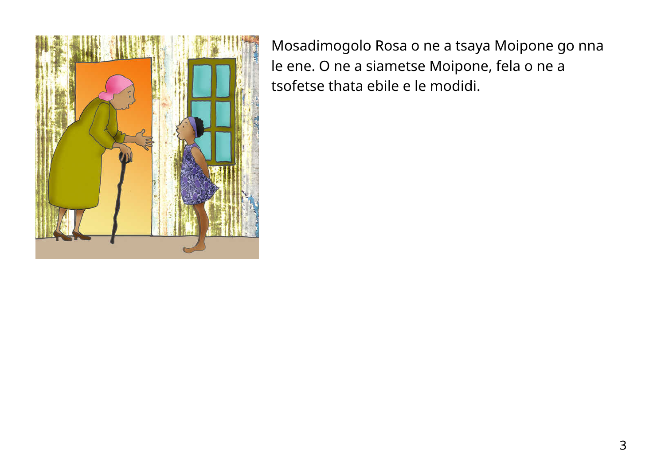

Mosadimogolo Rosa o ne a tsaya Moipone go nna le ene. O ne a siametse Moipone, fela o ne a tsofetse thata ebile e le modidi.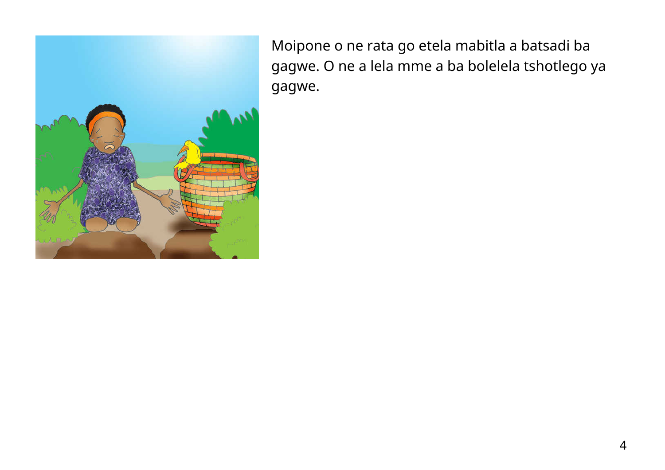

Moipone o ne rata go etela mabitla a batsadi ba gagwe. O ne a lela mme a ba bolelela tshotlego ya gagwe.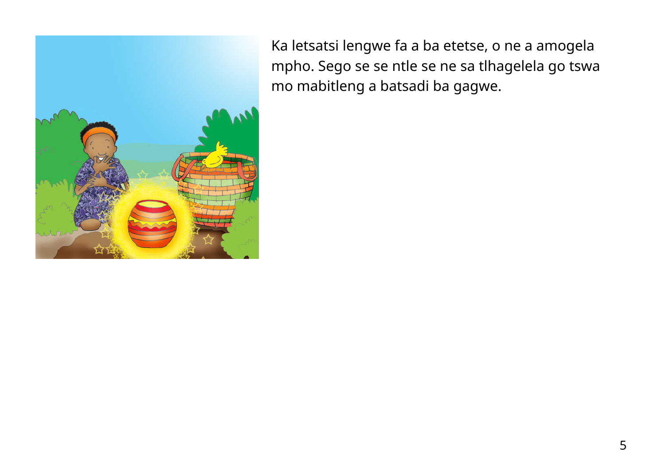

Ka letsatsi lengwe fa a ba etetse, o ne a amogela mpho. Sego se se ntle se ne sa tlhagelela go tswa mo mabitleng a batsadi ba gagwe.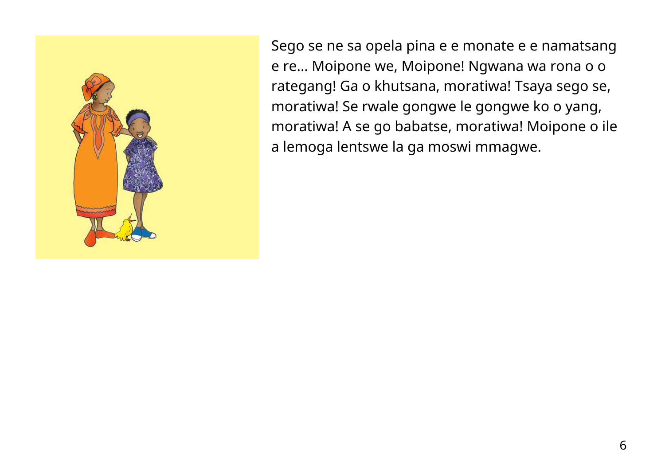

Sego se ne sa opela pina e e monate e e namatsang e re… Moipone we, Moipone! Ngwana wa rona o o rategang! Ga o khutsana, moratiwa! Tsaya sego se, moratiwa! Se rwale gongwe le gongwe ko o yang, moratiwa! A se go babatse, moratiwa! Moipone o ile a lemoga lentswe la ga moswi mmagwe.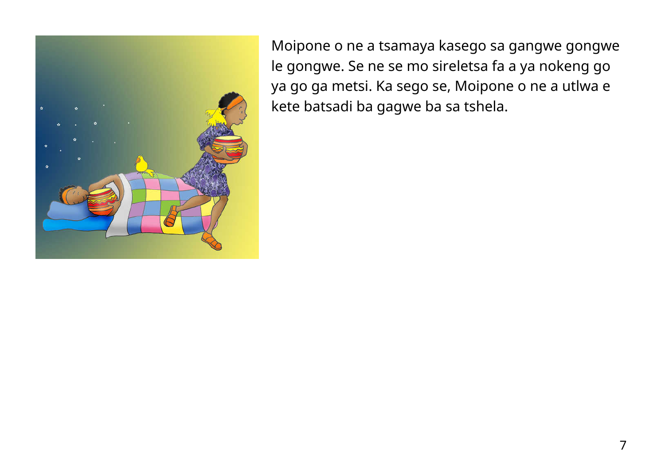

Moipone o ne a tsamaya kasego sa gangwe gongwe le gongwe. Se ne se mo sireletsa fa a ya nokeng go ya go ga metsi. Ka sego se, Moipone o ne a utlwa e kete batsadi ba gagwe ba sa tshela.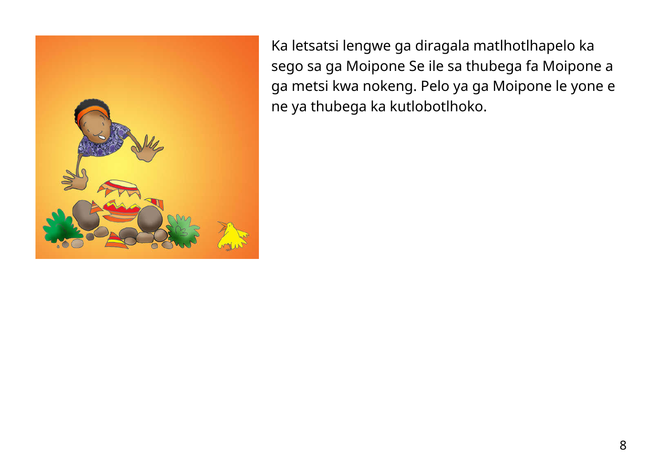

Ka letsatsi lengwe ga diragala matlhotlhapelo ka sego sa ga Moipone Se ile sa thubega fa Moipone a ga metsi kwa nokeng. Pelo ya ga Moipone le yone e ne ya thubega ka kutlobotlhoko.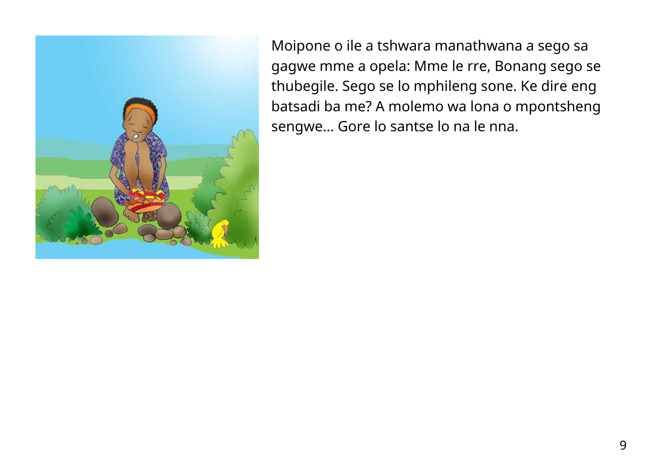

Moipone o ile a tshwara manathwana a sego sa gagwe mme a opela: Mme le rre, Bonang sego se thubegile. Sego se lo mphileng sone. Ke dire eng batsadi ba me? A molemo wa lona o mpontsheng sengwe… Gore lo santse lo na le nna.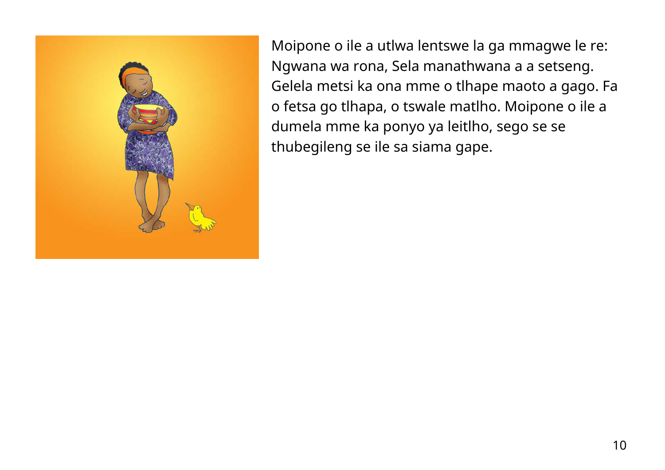

Moipone o ile a utlwa lentswe la ga mmagwe le re: Ngwana wa rona, Sela manathwana a a setseng. Gelela metsi ka ona mme o tlhape maoto a gago. Fa o fetsa go tlhapa, o tswale matlho. Moipone o ile a dumela mme ka ponyo ya leitlho, sego se se thubegileng se ile sa siama gape.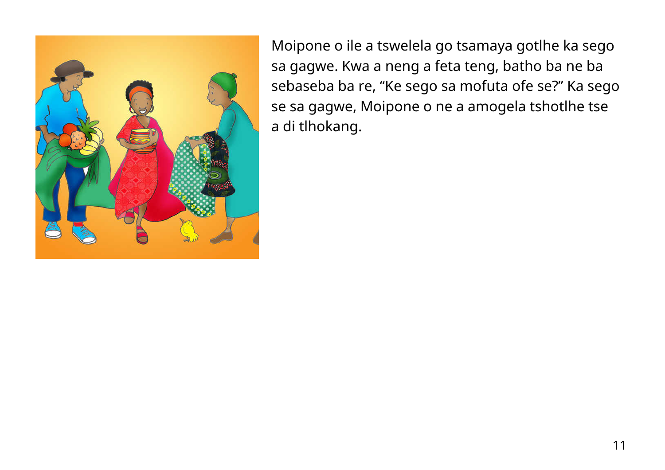

Moipone o ile a tswelela go tsamaya gotlhe ka sego sa gagwe. Kwa a neng a feta teng, batho ba ne ba sebaseba ba re, "Ke sego sa mofuta ofe se?" Ka sego se sa gagwe, Moipone o ne a amogela tshotlhe tse a di tlhokang.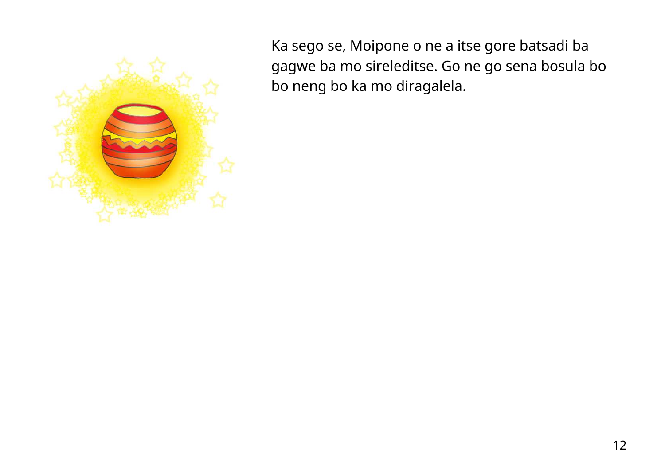

Ka sego se, Moipone o ne a itse gore batsadi ba gagwe ba mo sireleditse. Go ne go sena bosula bo bo neng bo ka mo diragalela.